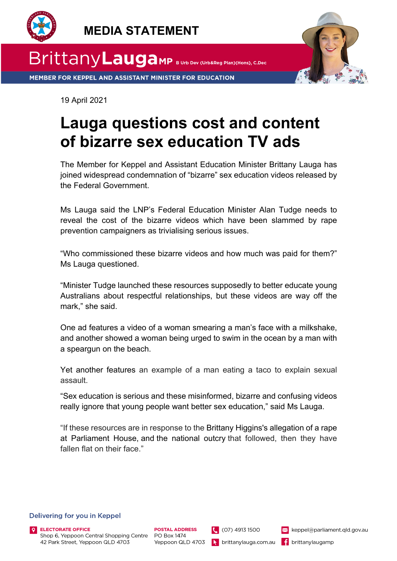

 **MEDIA STATEMENT**



MEMBER FOR KEPPEL AND ASSISTANT MINISTER FOR EDUCATION

19 April 2021

## **Lauga questions cost and content of bizarre sex education TV ads**

The Member for Keppel and Assistant Education Minister Brittany Lauga has joined widespread condemnation of "bizarre" sex education videos released by the Federal Government.

Ms Lauga said the LNP's Federal Education Minister Alan Tudge needs to reveal the cost of the bizarre videos which have been slammed by rape prevention campaigners as trivialising serious issues.

"Who commissioned these bizarre videos and how much was paid for them?" Ms Lauga questioned.

"Minister Tudge launched these resources supposedly to better educate young Australians about respectful relationships, but these videos are way off the mark," she said.

One ad features a video of a woman smearing a man's face with a milkshake, and another showed a woman being urged to swim in the ocean by a man with a speargun on the beach.

Yet another features an example of a man eating a taco to explain sexual assault.

"Sex education is serious and these misinformed, bizarre and confusing videos really ignore that young people want better sex education," said Ms Lauga.

"If these resources are in response to the Brittany Higgins's allegation of a rape at Parliament House, and the national outcry that followed, then they have fallen flat on their face."

 $(07) 4913 1500$ 

## Delivering for you in Keppel

**ELECTORATE OFFICE** Shop 6, Yeppoon Central Shopping Centre 42 Park Street, Yeppoon QLD 4703

keppel@parliament.qld.gov.au